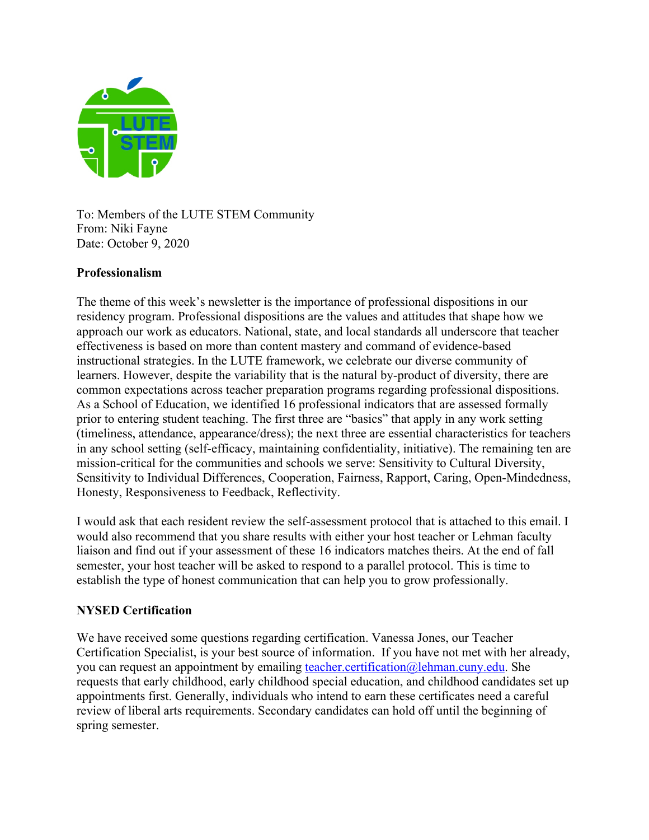

To: Members of the LUTE STEM Community From: Niki Fayne Date: October 9, 2020

## **Professionalism**

The theme of this week's newsletter is the importance of professional dispositions in our residency program. Professional dispositions are the values and attitudes that shape how we approach our work as educators. National, state, and local standards all underscore that teacher effectiveness is based on more than content mastery and command of evidence-based instructional strategies. In the LUTE framework, we celebrate our diverse community of learners. However, despite the variability that is the natural by-product of diversity, there are common expectations across teacher preparation programs regarding professional dispositions. As a School of Education, we identified 16 professional indicators that are assessed formally prior to entering student teaching. The first three are "basics" that apply in any work setting (timeliness, attendance, appearance/dress); the next three are essential characteristics for teachers in any school setting (self-efficacy, maintaining confidentiality, initiative). The remaining ten are mission-critical for the communities and schools we serve: Sensitivity to Cultural Diversity, Sensitivity to Individual Differences, Cooperation, Fairness, Rapport, Caring, Open-Mindedness, Honesty, Responsiveness to Feedback, Reflectivity.

I would ask that each resident review the self-assessment protocol that is attached to this email. I would also recommend that you share results with either your host teacher or Lehman faculty liaison and find out if your assessment of these 16 indicators matches theirs. At the end of fall semester, your host teacher will be asked to respond to a parallel protocol. This is time to establish the type of honest communication that can help you to grow professionally.

## **NYSED Certification**

We have received some questions regarding certification. Vanessa Jones, our Teacher Certification Specialist, is your best source of information. If you have not met with her already, you can request an appointment by emailing teacher.certification@lehman.cuny.edu. She requests that early childhood, early childhood special education, and childhood candidates set up appointments first. Generally, individuals who intend to earn these certificates need a careful review of liberal arts requirements. Secondary candidates can hold off until the beginning of spring semester.